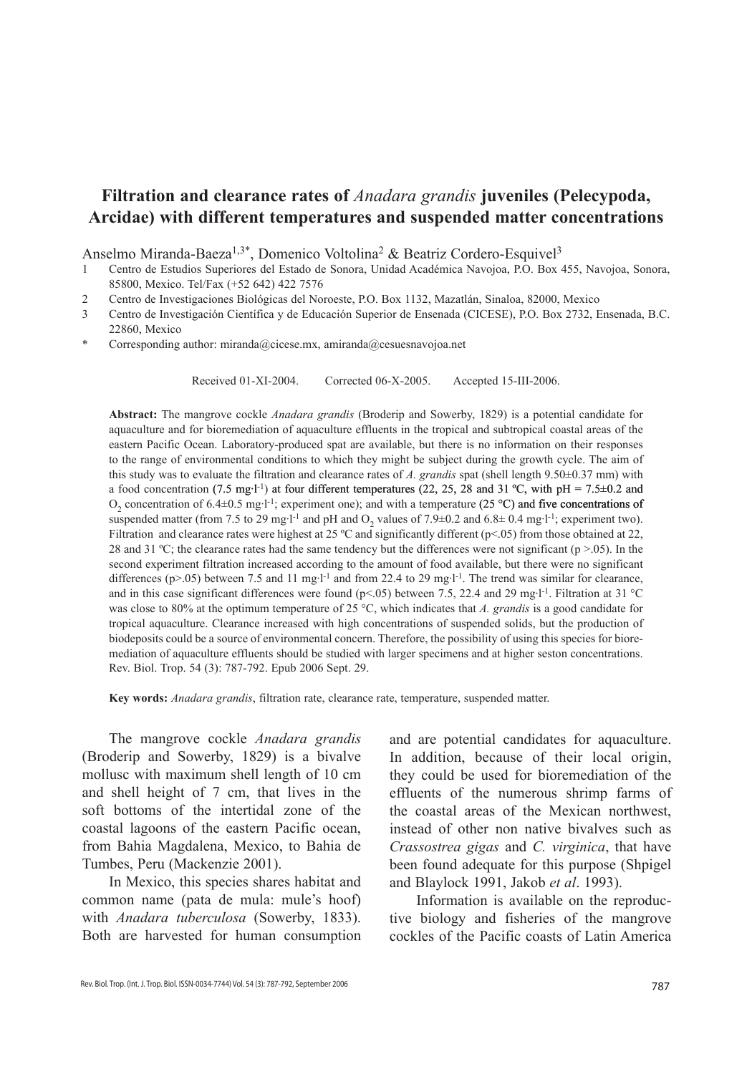# **Filtration and clearance rates of** *Anadara grandis* **juveniles (Pelecypoda, Arcidae) with different temperatures and suspended matter concentrations**

Anselmo Miranda-Baeza<sup>1,3\*</sup>, Domenico Voltolina<sup>2</sup> & Beatriz Cordero-Esquivel<sup>3</sup>

- 1 Centro de Estudios Superiores del Estado de Sonora, Unidad Académica Navojoa, P.O. Box 455, Navojoa, Sonora, 85800, Mexico. Tel/Fax (+52 642) 422 7576
- 2 Centro de Investigaciones Biológicas del Noroeste, P.O. Box 1132, Mazatlán, Sinaloa, 82000, Mexico
- 3 Centro de Investigación Científica y de Educación Superior de Ensenada (CICESE), P.O. Box 2732, Ensenada, B.C. 22860, Mexico
- Corresponding author: miranda@cicese.mx, amiranda@cesuesnavojoa.net

Received 01-XI-2004. Corrected 06-X-2005. Accepted 15-III-2006.

**Abstract:** The mangrove cockle *Anadara grandis* (Broderip and Sowerby, 1829) is a potential candidate for aquaculture and for bioremediation of aquaculture effluents in the tropical and subtropical coastal areas of the eastern Pacific Ocean. Laboratory-produced spat are available, but there is no information on their responses to the range of environmental conditions to which they might be subject during the growth cycle. The aim of this study was to evaluate the filtration and clearance rates of *A. grandis* spat (shell length 9.50±0.37 mm) with a food concentration (7.5 mg·l<sup>-1</sup>) at four different temperatures (22, 25, 28 and 31 °C, with pH = 7.5±0.2 and  $O_2$  concentration of 6.4 $\pm$ 0.5 mg·l<sup>-1</sup>; experiment one); and with a temperature (25 °C) and five concentrations of suspended matter (from 7.5 to 29 mg·l<sup>-1</sup> and pH and  $O_2$  values of 7.9±0.2 and 6.8± 0.4 mg·l<sup>-1</sup>; experiment two). Filtration and clearance rates were highest at 25  $^{\circ}$ C and significantly different (p<.05) from those obtained at 22, 28 and 31  $^{\circ}$ C; the clearance rates had the same tendency but the differences were not significant (p >.05). In the second experiment filtration increased according to the amount of food available, but there were no significant differences ( $p$ >.05) between 7.5 and 11 mg·l<sup>-1</sup> and from 22.4 to 29 mg·l<sup>-1</sup>. The trend was similar for clearance, and in this case significant differences were found ( $p$ <.05) between 7.5, 22.4 and 29 mg·l<sup>-1</sup>. Filtration at 31 °C was close to 80% at the optimum temperature of 25 °C, which indicates that *A. grandis* is a good candidate for tropical aquaculture. Clearance increased with high concentrations of suspended solids, but the production of biodeposits could be a source of environmental concern. Therefore, the possibility of using this species for bioremediation of aquaculture effluents should be studied with larger specimens and at higher seston concentrations. Rev. Biol. Trop. 54 (3): 787-792. Epub 2006 Sept. 29.

**Key words:** *Anadara grandis*, filtration rate, clearance rate, temperature, suspended matter.

The mangrove cockle *Anadara grandis* (Broderip and Sowerby, 1829) is a bivalve mollusc with maximum shell length of 10 cm and shell height of 7 cm, that lives in the soft bottoms of the intertidal zone of the coastal lagoons of the eastern Pacific ocean, from Bahia Magdalena, Mexico, to Bahia de Tumbes, Peru (Mackenzie 2001).

In Mexico, this species shares habitat and common name (pata de mula: mule's hoof) with *Anadara tuberculosa* (Sowerby, 1833). Both are harvested for human consumption and are potential candidates for aquaculture. In addition, because of their local origin, they could be used for bioremediation of the effluents of the numerous shrimp farms of the coastal areas of the Mexican northwest, instead of other non native bivalves such as *Crassostrea gigas* and *C. virginica*, that have been found adequate for this purpose (Shpigel and Blaylock 1991, Jakob *et al*. 1993).

Information is available on the reproductive biology and fisheries of the mangrove cockles of the Pacific coasts of Latin America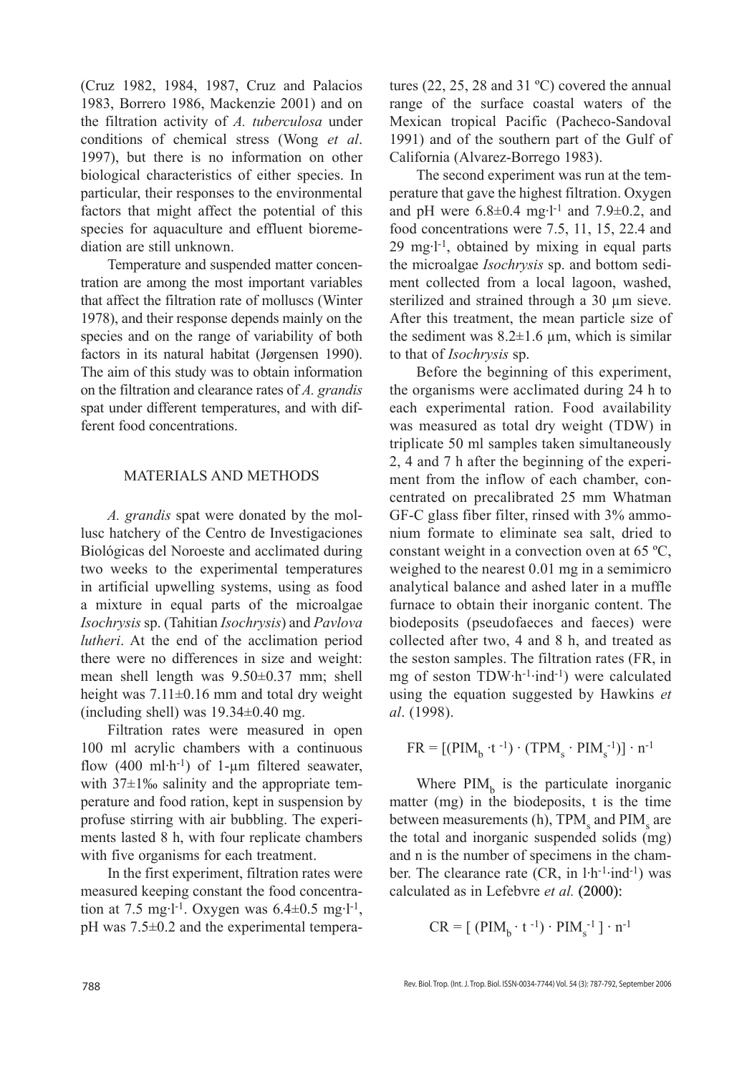(Cruz 1982, 1984, 1987, Cruz and Palacios 1983, Borrero 1986, Mackenzie 2001) and on the filtration activity of *A. tuberculosa* under conditions of chemical stress (Wong *et al*. 1997), but there is no information on other biological characteristics of either species. In particular, their responses to the environmental factors that might affect the potential of this species for aquaculture and effluent bioremediation are still unknown.

Temperature and suspended matter concentration are among the most important variables that affect the filtration rate of molluscs (Winter 1978), and their response depends mainly on the species and on the range of variability of both factors in its natural habitat (Jørgensen 1990). The aim of this study was to obtain information on the filtration and clearance rates of *A. grandis* spat under different temperatures, and with different food concentrations.

# MATERIALS AND METHODS

*A. grandis* spat were donated by the mollusc hatchery of the Centro de Investigaciones Biológicas del Noroeste and acclimated during two weeks to the experimental temperatures in artificial upwelling systems, using as food a mixture in equal parts of the microalgae *Isochrysis* sp. (Tahitian *Isochrysis*) and *Pavlova lutheri*. At the end of the acclimation period there were no differences in size and weight: mean shell length was 9.50±0.37 mm; shell height was 7.11±0.16 mm and total dry weight (including shell) was  $19.34\pm0.40$  mg.

Filtration rates were measured in open 100 ml acrylic chambers with a continuous flow  $(400 \text{ ml} \cdot \text{h}^{-1})$  of 1-µm filtered seawater, with 37±1‰ salinity and the appropriate temperature and food ration, kept in suspension by profuse stirring with air bubbling. The experiments lasted 8 h, with four replicate chambers with five organisms for each treatment.

In the first experiment, filtration rates were measured keeping constant the food concentration at 7.5 mg·l<sup>-1</sup>. Oxygen was  $6.4 \pm 0.5$  mg·l<sup>-1</sup>, pH was 7.5±0.2 and the experimental temperatures (22, 25, 28 and 31 $°C$ ) covered the annual range of the surface coastal waters of the Mexican tropical Pacific (Pacheco-Sandoval 1991) and of the southern part of the Gulf of California (Alvarez-Borrego 1983).

The second experiment was run at the temperature that gave the highest filtration. Oxygen and pH were  $6.8 \pm 0.4$  mg·l<sup>-1</sup> and  $7.9 \pm 0.2$ , and food concentrations were 7.5, 11, 15, 22.4 and 29 mg·l -1, obtained by mixing in equal parts the microalgae *Isochrysis* sp. and bottom sediment collected from a local lagoon, washed, sterilized and strained through a 30  $\mu$ m sieve. After this treatment, the mean particle size of the sediment was  $8.2 \pm 1.6$  µm, which is similar to that of *Isochrysis* sp.

Before the beginning of this experiment, the organisms were acclimated during 24 h to each experimental ration. Food availability was measured as total dry weight (TDW) in triplicate 50 ml samples taken simultaneously 2, 4 and 7 h after the beginning of the experiment from the inflow of each chamber, concentrated on precalibrated 25 mm Whatman GF-C glass fiber filter, rinsed with 3% ammonium formate to eliminate sea salt, dried to constant weight in a convection oven at 65 ºC, weighed to the nearest 0.01 mg in a semimicro analytical balance and ashed later in a muffle furnace to obtain their inorganic content. The biodeposits (pseudofaeces and faeces) were collected after two, 4 and 8 h, and treated as the seston samples. The filtration rates (FR, in mg of seston  $TDW·h^{-1}·ind^{-1}$ ) were calculated using the equation suggested by Hawkins *et al*. (1998).

$$
FR = [(PIM_b \cdot t^{-1}) \cdot (TPM_s \cdot PIM_s^{-1})] \cdot n^{-1}
$$

Where  $PIM<sub>b</sub>$  is the particulate inorganic matter (mg) in the biodeposits, t is the time between measurements (h),  $TPM_s$  and  $PIM_s$  are the total and inorganic suspended solids (mg) and n is the number of specimens in the chamber. The clearance rate (CR, in l·h-1·ind-1) was calculated as in Lefebvre *et al.*

$$
CR = [ (PIM_b \cdot t^{-1}) \cdot PIM_s^{-1}] \cdot n^{-1}
$$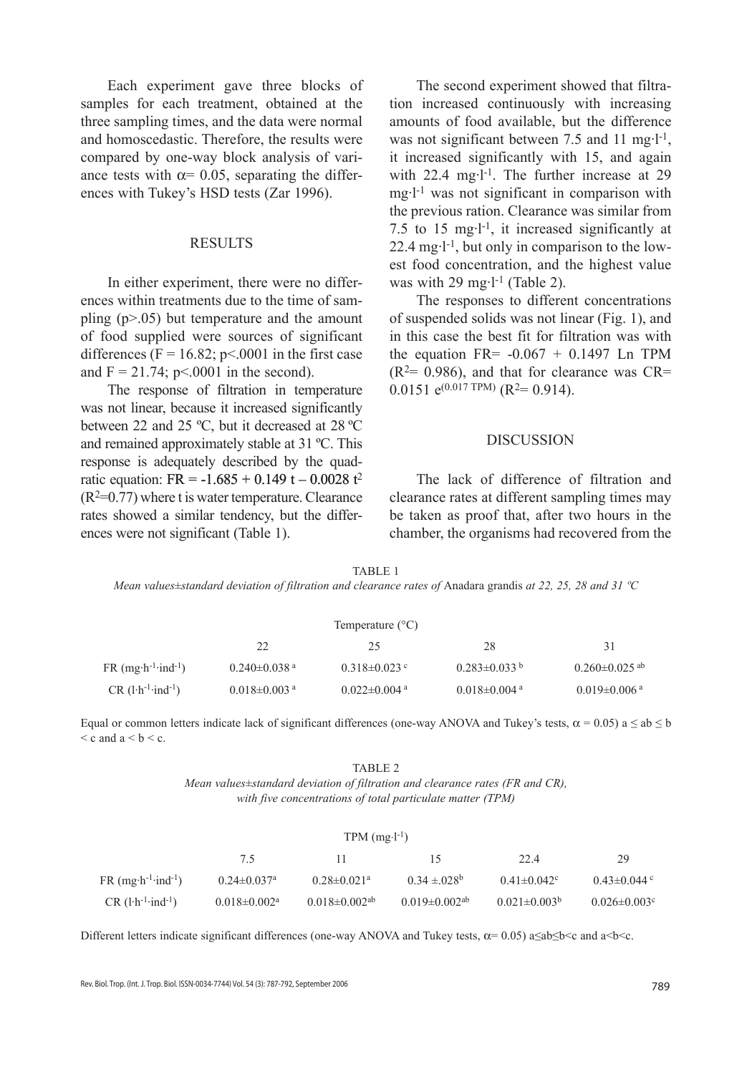Each experiment gave three blocks of samples for each treatment, obtained at the three sampling times, and the data were normal and homoscedastic. Therefore, the results were compared by one-way block analysis of variance tests with  $\alpha$ = 0.05, separating the differences with Tukey's HSD tests (Zar 1996).

# RESULTS

In either experiment, there were no differences within treatments due to the time of sampling (p>.05) but temperature and the amount of food supplied were sources of significant differences ( $F = 16.82$ ; p<.0001 in the first case and  $F = 21.74$ ; p<.0001 in the second).

The response of filtration in temperature was not linear, because it increased significantly between 22 and 25 ºC, but it decreased at 28 ºC and remained approximately stable at 31 ºC. This response is adequately described by the quadratic equation: FR =  $-1.685 + 0.149$  t  $- 0.0028$  t<sup>2</sup>  $(R<sup>2</sup>=0.77)$  where t is water temperature. Clearance rates showed a similar tendency, but the differences were not significant (Table 1).

The second experiment showed that filtration increased continuously with increasing amounts of food available, but the difference was not significant between 7.5 and 11 mg·l<sup>-1</sup>, it increased significantly with 15, and again with 22.4 mg·l<sup>-1</sup>. The further increase at 29 mg·l -1 was not significant in comparison with the previous ration. Clearance was similar from 7.5 to 15 mg $\cdot$ 1<sup>-1</sup>, it increased significantly at 22.4 mg·l -1, but only in comparison to the lowest food concentration, and the highest value was with  $29 \text{ mg-l}$ <sup>-1</sup> (Table 2).

The responses to different concentrations of suspended solids was not linear (Fig. 1), and in this case the best fit for filtration was with the equation FR=  $-0.067 + 0.1497$  Ln TPM  $(R<sup>2</sup>= 0.986)$ , and that for clearance was CR=  $0.0151$  e<sup>(0.017 TPM)</sup> (R<sup>2</sup>= 0.914).

#### DISCUSSION

The lack of difference of filtration and clearance rates at different sampling times may be taken as proof that, after two hours in the chamber, the organisms had recovered from the

| TABLE 1                                                                                                     |  |  |
|-------------------------------------------------------------------------------------------------------------|--|--|
| Mean values±standard deviation of filtration and clearance rates of Anadara grandis at 22, 25, 28 and 31 °C |  |  |

| Temperature $(^{\circ}C)$                     |                                |                                |                                |                                 |
|-----------------------------------------------|--------------------------------|--------------------------------|--------------------------------|---------------------------------|
|                                               | 22                             | 25                             | 28                             | 31                              |
| $FR$ (mg·h <sup>-1</sup> ·ind <sup>-1</sup> ) | $0.240 \pm 0.038$ <sup>a</sup> | $0.318 \pm 0.023$ c            | $0.283 \pm 0.033$ b            | $0.260 \pm 0.025$ <sup>ab</sup> |
| $CR(l \cdot h^{-1} \cdot ind^{-1})$           | $0.018 \pm 0.003$ <sup>a</sup> | $0.022 \pm 0.004$ <sup>a</sup> | $0.018 \pm 0.004$ <sup>a</sup> | $0.019 \pm 0.006$ a             |

Equal or common letters indicate lack of significant differences (one-way ANOVA and Tukey's tests,  $\alpha = 0.05$ ) a  $\leq$  ab  $\leq$  b  $\leq$  c and a  $\leq$  b  $\leq$  c.

#### TABLE 2

*Mean values±standard deviation of filtration and clearance rates (FR and CR), with five concentrations of total particulate matter (TPM)*

| $TPM$ (mg·l <sup>-1</sup> )                   |                                |                                 |                                 |                     |                                |
|-----------------------------------------------|--------------------------------|---------------------------------|---------------------------------|---------------------|--------------------------------|
|                                               | 7.5                            |                                 |                                 | 22.4                | 29                             |
| $FR$ (mg·h <sup>-1</sup> ·ind <sup>-1</sup> ) | $0.24 \pm 0.037$ <sup>a</sup>  | $0.28 \pm 0.021$ <sup>a</sup>   | $0.34 \pm 0.028$                | $0.41 \pm 0.042$ °  | $0.43 \pm 0.044$ °             |
| $CR$ (l $\cdot h^{-1}$ $ind^{-1}$ )           | $0.018 \pm 0.002$ <sup>a</sup> | $0.018 \pm 0.002$ <sup>ab</sup> | $0.019 \pm 0.002$ <sup>ab</sup> | $0.021 \pm 0.003^b$ | $0.026 \pm 0.003$ <sup>c</sup> |

Different letters indicate significant differences (one-way ANOVA and Tukey tests,  $\alpha$  = 0.05) a≤ab≤b<c and a<br/>b<c.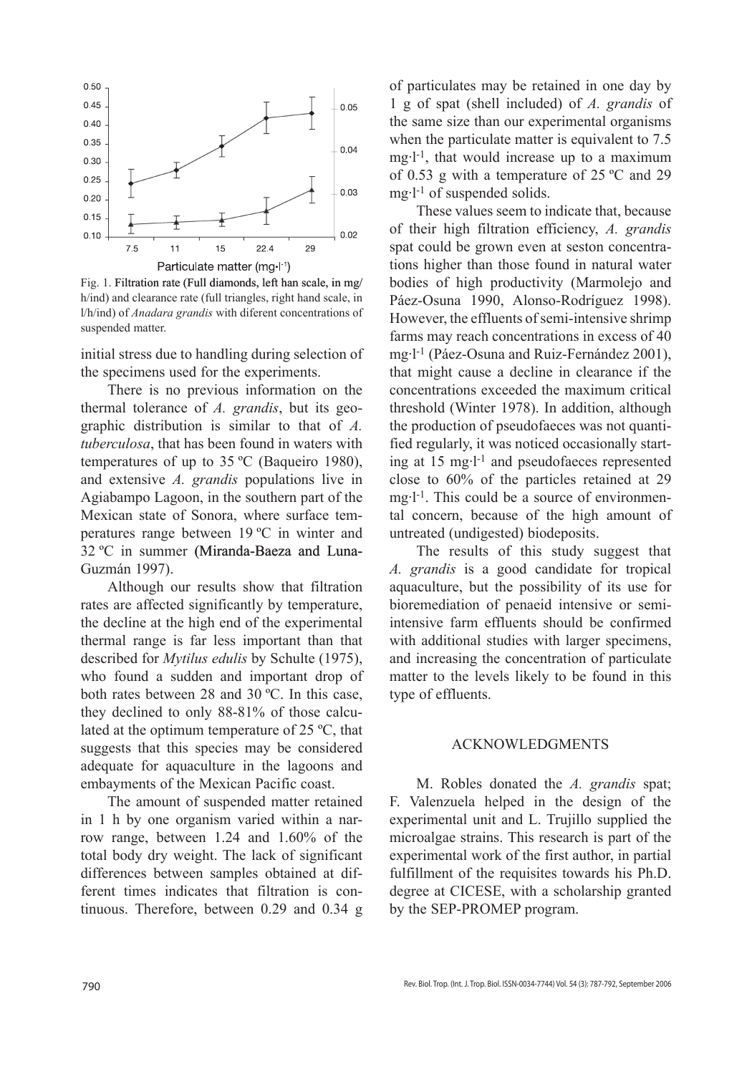

Fig. 1. Filtration rate (Full diamonds, left han scale, in mg/ h/ind) and clearance rate (full triangles, right hand scale, in l/h/ind) of *Anadara grandis* with diferent concentrations of suspended matter.

initial stress due to handling during selection of the specimens used for the experiments.

There is no previous information on the thermal tolerance of *A. grandis*, but its geographic distribution is similar to that of *A. tuberculosa*, that has been found in waters with temperatures of up to 35 ºC (Baqueiro 1980), and extensive *A. grandis* populations live in Agiabampo Lagoon, in the southern part of the Mexican state of Sonora, where surface temperatures range between 19 ºC in winter and 32 ºC in summer (Miranda-Baeza and Luna-Guzmán 1997).

Although our results show that filtration rates are affected significantly by temperature, the decline at the high end of the experimental thermal range is far less important than that described for *Mytilus edulis* by Schulte (1975), who found a sudden and important drop of both rates between 28 and 30 °C. In this case, they declined to only 88-81% of those calculated at the optimum temperature of 25 ºC, that suggests that this species may be considered adequate for aquaculture in the lagoons and embayments of the Mexican Pacific coast.

The amount of suspended matter retained in 1 h by one organism varied within a narrow range, between 1.24 and 1.60% of the total body dry weight. The lack of significant differences between samples obtained at different times indicates that filtration is continuous. Therefore, between 0.29 and 0.34 g

of particulates may be retained in one day by 1 g of spat (shell included) of *A. grandis* of the same size than our experimental organisms when the particulate matter is equivalent to 7.5 mg·l -1, that would increase up to a maximum of 0.53 g with a temperature of 25 ºC and 29 mg·l -1 of suspended solids.

These values seem to indicate that, because of their high filtration efficiency, *A. grandis* spat could be grown even at seston concentrations higher than those found in natural water bodies of high productivity (Marmolejo and Páez-Osuna 1990, Alonso-Rodríguez 1998). However, the effluents of semi-intensive shrimp farms may reach concentrations in excess of 40 mg·l -1 (Páez-Osuna and Ruiz-Fernández 2001), that might cause a decline in clearance if the concentrations exceeded the maximum critical threshold (Winter 1978). In addition, although the production of pseudofaeces was not quantified regularly, it was noticed occasionally starting at 15 mg·l -1 and pseudofaeces represented close to 60% of the particles retained at 29 mg·l<sup>-1</sup>. This could be a source of environmental concern, because of the high amount of untreated (undigested) biodeposits.

The results of this study suggest that *A. grandis* is a good candidate for tropical aquaculture, but the possibility of its use for bioremediation of penaeid intensive or semiintensive farm effluents should be confirmed with additional studies with larger specimens, and increasing the concentration of particulate matter to the levels likely to be found in this type of effluents.

# ACKNOWLEDGMENTS

M. Robles donated the *A. grandis* spat; F. Valenzuela helped in the design of the experimental unit and L. Trujillo supplied the microalgae strains. This research is part of the experimental work of the first author, in partial fulfillment of the requisites towards his Ph.D. degree at CICESE, with a scholarship granted by the SEP-PROMEP program.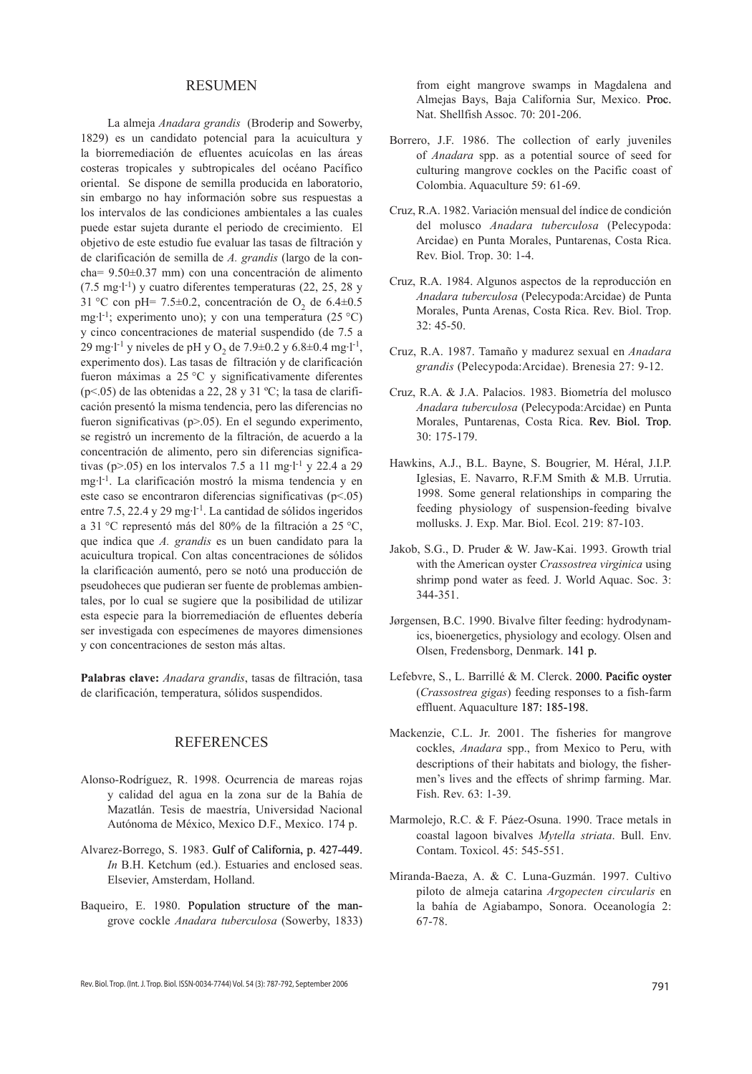#### Resumen

La almeja *Anadara grandis* (Broderip and Sowerby, 1829) es un candidato potencial para la acuicultura y la biorremediación de efluentes acuícolas en las áreas costeras tropicales y subtropicales del océano Pacífico oriental. Se dispone de semilla producida en laboratorio, sin embargo no hay información sobre sus respuestas a los intervalos de las condiciones ambientales a las cuales puede estar sujeta durante el periodo de crecimiento. El objetivo de este estudio fue evaluar las tasas de filtración y de clarificación de semilla de *A. grandis* (largo de la concha= 9.50±0.37 mm) con una concentración de alimento  $(7.5 \text{ mg-l}^{-1})$  y cuatro diferentes temperaturas  $(22, 25, 28 \text{ y})$ 31 °C con pH= 7.5 $\pm$ 0.2, concentración de O<sub>2</sub> de 6.4 $\pm$ 0.5 mg·l<sup>-1</sup>; experimento uno); y con una temperatura (25 °C) y cinco concentraciones de material suspendido (de 7.5 a 29 mg·l<sup>-1</sup> y niveles de pH y O<sub>2</sub> de 7.9±0.2 y 6.8±0.4 mg·l<sup>-1</sup>, experimento dos). Las tasas de filtración y de clarificación fueron máximas a 25 °C y significativamente diferentes (p<.05) de las obtenidas a 22, 28 y 31 ºC; la tasa de clarificación presentó la misma tendencia, pero las diferencias no fueron significativas (p>.05). En el segundo experimento, se registró un incremento de la filtración, de acuerdo a la concentración de alimento, pero sin diferencias significativas (p $> 0.05$ ) en los intervalos 7.5 a 11 mg·l<sup>-1</sup> y 22.4 a 29 mg·l -1. La clarificación mostró la misma tendencia y en este caso se encontraron diferencias significativas (p<.05) entre 7.5, 22.4 y 29 mg·l<sup>-1</sup>. La cantidad de sólidos ingeridos a 31 °C representó más del 80% de la filtración a 25 °C, que indica que *A. grandis* es un buen candidato para la acuicultura tropical. Con altas concentraciones de sólidos la clarificación aumentó, pero se notó una producción de pseudoheces que pudieran ser fuente de problemas ambientales, por lo cual se sugiere que la posibilidad de utilizar esta especie para la biorremediación de efluentes debería ser investigada con especímenes de mayores dimensiones y con concentraciones de seston más altas.

**Palabras clave:** *Anadara grandis*, tasas de filtración, tasa de clarificación, temperatura, sólidos suspendidos.

# REFERENCES

- Alonso-Rodríguez, R. 1998. Ocurrencia de mareas rojas y calidad del agua en la zona sur de la Bahía de Mazatlán. Tesis de maestría, Universidad Nacional Autónoma de México, Mexico D.F., Mexico. 174 p.
- Alvarez-Borrego, S. 1983. Gulf of California, p. 427-449. *In* B.H. Ketchum (ed.). Estuaries and enclosed seas. Elsevier, Amsterdam, Holland.
- Baqueiro, E. 1980. Population structure of the mangrove cockle *Anadara tuberculosa* (Sowerby, 1833)

from eight mangrove swamps in Magdalena and Almejas Bays, Baja California Sur, Mexico. Proc. Nat. Shellfish Assoc. 70: 201-206.

- Borrero, J.F. 1986. The collection of early juveniles of *Anadara* spp. as a potential source of seed for culturing mangrove cockles on the Pacific coast of Colombia. Aquaculture 59: 61-69.
- Cruz, R.A. 1982. Variación mensual del índice de condición del molusco *Anadara tuberculosa* (Pelecypoda: Arcidae) en Punta Morales, Puntarenas, Costa Rica. Rev. Biol. Trop. 30: 1-4.
- Cruz, R.A. 1984. Algunos aspectos de la reproducción en *Anadara tuberculosa* (Pelecypoda:Arcidae) de Punta Morales, Punta Arenas, Costa Rica. Rev. Biol. Trop. 32: 45-50.
- Cruz, R.A. 1987. Tamaño y madurez sexual en *Anadara grandis* (Pelecypoda:Arcidae). Brenesia 27: 9-12.
- Cruz, R.A. & J.A. Palacios. 1983. Biometría del molusco *Anadara tuberculosa* (Pelecypoda:Arcidae) en Punta Morales, Puntarenas, Costa Rica. Rev. Biol. Trop. 30: 175-179.
- Hawkins, A.J., B.L. Bayne, S. Bougrier, M. Héral, J.I.P. Iglesias, E. Navarro, R.F.M Smith & M.B. Urrutia. 1998. Some general relationships in comparing the feeding physiology of suspension-feeding bivalve mollusks. J. Exp. Mar. Biol. Ecol. 219: 87-103.
- Jakob, S.G., D. Pruder & W. Jaw-Kai. 1993. Growth trial with the American oyster *Crassostrea virginica* using shrimp pond water as feed. J. World Aquac. Soc. 3: 344-351.
- Jørgensen, B.C. 1990. Bivalve filter feeding: hydrodynamics, bioenergetics, physiology and ecology. Olsen and Olsen, Fredensborg, Denmark. 141 p.
- Lefebvre, S., L. Barrillé & M. Clerck. 2000. Pacific oyster (*Crassostrea gigas*) feeding responses to a fish-farm effluent. Aquaculture 187: 185-198.
- Mackenzie, C.L. Jr. 2001. The fisheries for mangrove cockles, *Anadara* spp., from Mexico to Peru, with descriptions of their habitats and biology, the fishermen's lives and the effects of shrimp farming. Mar. Fish. Rev. 63: 1-39.
- Marmolejo, R.C. & F. Páez-Osuna. 1990. Trace metals in coastal lagoon bivalves *Mytella striata*. Bull. Env. Contam. Toxicol. 45: 545-551.
- Miranda-Baeza, A. & C. Luna-Guzmán. 1997. Cultivo piloto de almeja catarina *Argopecten circularis* en la bahía de Agiabampo, Sonora. Oceanología 2: 67-78.